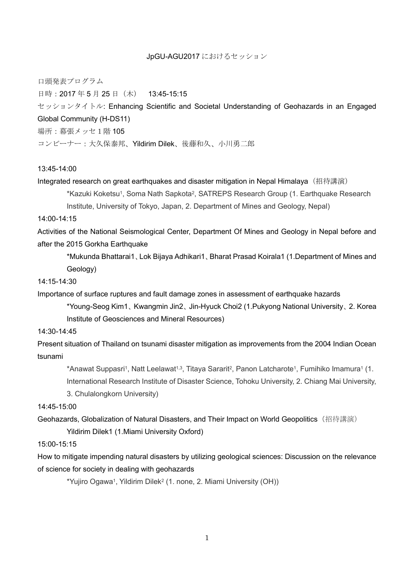#### JpGU-AGU2017 におけるセッション

口頭発表プログラム

日時:2017 年 5 月 25 日(木) 13:45-15:15

セッションタイトル: Enhancing Scientific and Societal Understanding of Geohazards in an Engaged Global Community (H-DS11) 場所:幕張メッセ1階 105

コンビーナー:大久保泰邦、Yildirim Dilek、後藤和久、小川勇二郎

### 13:45-14:00

Integrated research on great earthquakes and disaster mitigation in Nepal Himalaya (招待講演)

\*Kazuki Koketsu1, Soma Nath Sapkota<sup>2</sup>, SATREPS Research Group (1. Earthquake Research

Institute, University of Tokyo, Japan, 2. Department of Mines and Geology, Nepal)

## 14:00-14:15

Activities of the National Seismological Center, Department Of Mines and Geology in Nepal before and after the 2015 Gorkha Earthquake

\*Mukunda Bhattarai1、Lok Bijaya Adhikari1、Bharat Prasad Koirala1 (1.Department of Mines and Geology)

### 14:15-14:30

Importance of surface ruptures and fault damage zones in assessment of earthquake hazards

\*Young-Seog Kim1、Kwangmin Jin2、Jin-Hyuck Choi2 (1.Pukyong National University、2. Korea Institute of Geosciences and Mineral Resources)

### 14:30-14:45

Present situation of Thailand on tsunami disaster mitigation as improvements from the 2004 Indian Ocean tsunami

\*Anawat Suppasri1, Natt Leelawat1.3, Titaya Sararit2, Panon Latcharote1, Fumihiko Imamura1 (1. International Research Institute of Disaster Science, Tohoku University, 2. Chiang Mai University, 3. Chulalongkorn University)

## 14:45-15:00

Geohazards, Globalization of Natural Disasters, and Their Impact on World Geopolitics (招待講演) Yildirim Dilek1 (1.Miami University Oxford)

#### 15:00-15:15

How to mitigate impending natural disasters by utilizing geological sciences: Discussion on the relevance of science for society in dealing with geohazards

\*Yujiro Ogawa<sup>1</sup>, Yildirim Dilek<sup>2</sup> (1. none, 2. Miami University (OH))